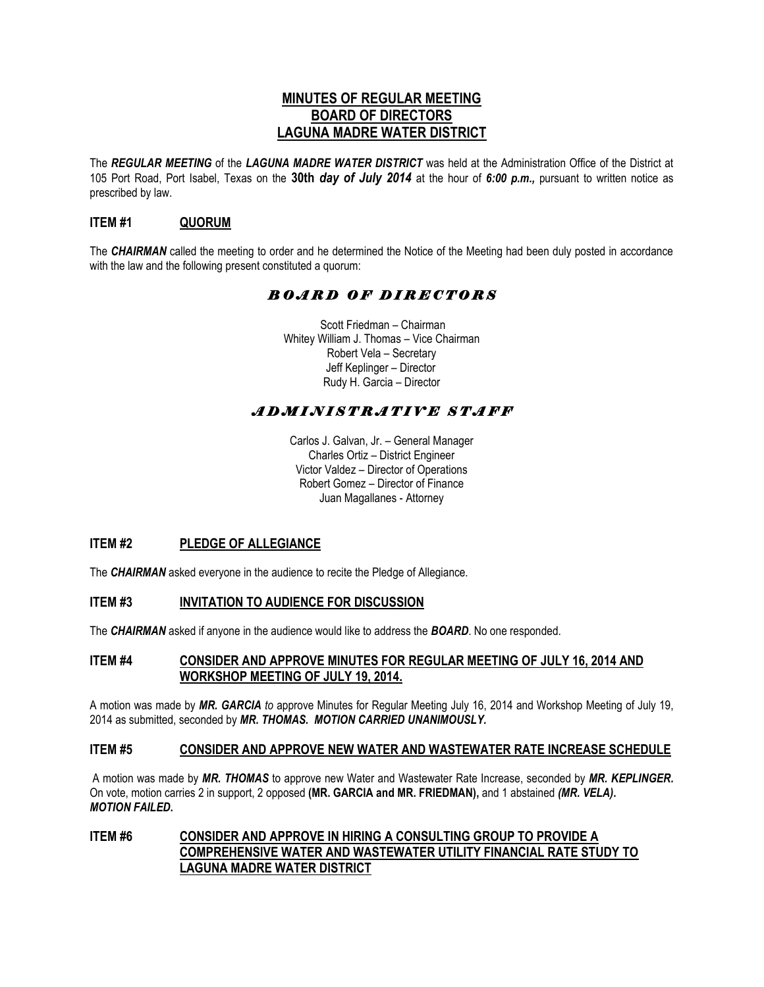# **MINUTES OF REGULAR MEETING BOARD OF DIRECTORS LAGUNA MADRE WATER DISTRICT**

The *REGULAR MEETING* of the *LAGUNA MADRE WATER DISTRICT* was held at the Administration Office of the District at 105 Port Road, Port Isabel, Texas on the **30th** *day of July 2014* at the hour of *6:00 p.m.,* pursuant to written notice as prescribed by law.

## **ITEM #1 QUORUM**

The *CHAIRMAN* called the meeting to order and he determined the Notice of the Meeting had been duly posted in accordance with the law and the following present constituted a quorum:

# *B O A R D O F D I R E C T O R S*

 Scott Friedman – Chairman Whitey William J. Thomas – Vice Chairman Robert Vela – Secretary Jeff Keplinger – Director Rudy H. Garcia – Director

# *A D M I N I S T R A T I V E S T A F F*

Carlos J. Galvan, Jr. – General Manager Charles Ortiz – District Engineer Victor Valdez – Director of Operations Robert Gomez – Director of Finance Juan Magallanes - Attorney

## **ITEM #2 PLEDGE OF ALLEGIANCE**

The **CHAIRMAN** asked everyone in the audience to recite the Pledge of Allegiance.

## **ITEM #3 INVITATION TO AUDIENCE FOR DISCUSSION**

The *CHAIRMAN* asked if anyone in the audience would like to address the *BOARD*. No one responded.

## **ITEM #4 CONSIDER AND APPROVE MINUTES FOR REGULAR MEETING OF JULY 16, 2014 AND WORKSHOP MEETING OF JULY 19, 2014.**

A motion was made by *MR. GARCIA to* approve Minutes for Regular Meeting July 16, 2014 and Workshop Meeting of July 19, 2014 as submitted, seconded by *MR. THOMAS. MOTION CARRIED UNANIMOUSLY.*

#### **ITEM #5 CONSIDER AND APPROVE NEW WATER AND WASTEWATER RATE INCREASE SCHEDULE**

A motion was made by *MR. THOMAS* to approve new Water and Wastewater Rate Increase, seconded by *MR. KEPLINGER.*  On vote, motion carries 2 in support, 2 opposed **(MR. GARCIA and MR. FRIEDMAN),** and 1 abstained *(MR. VELA)***.**  *MOTION FAILED***.**

## **ITEM #6 CONSIDER AND APPROVE IN HIRING A CONSULTING GROUP TO PROVIDE A COMPREHENSIVE WATER AND WASTEWATER UTILITY FINANCIAL RATE STUDY TO LAGUNA MADRE WATER DISTRICT**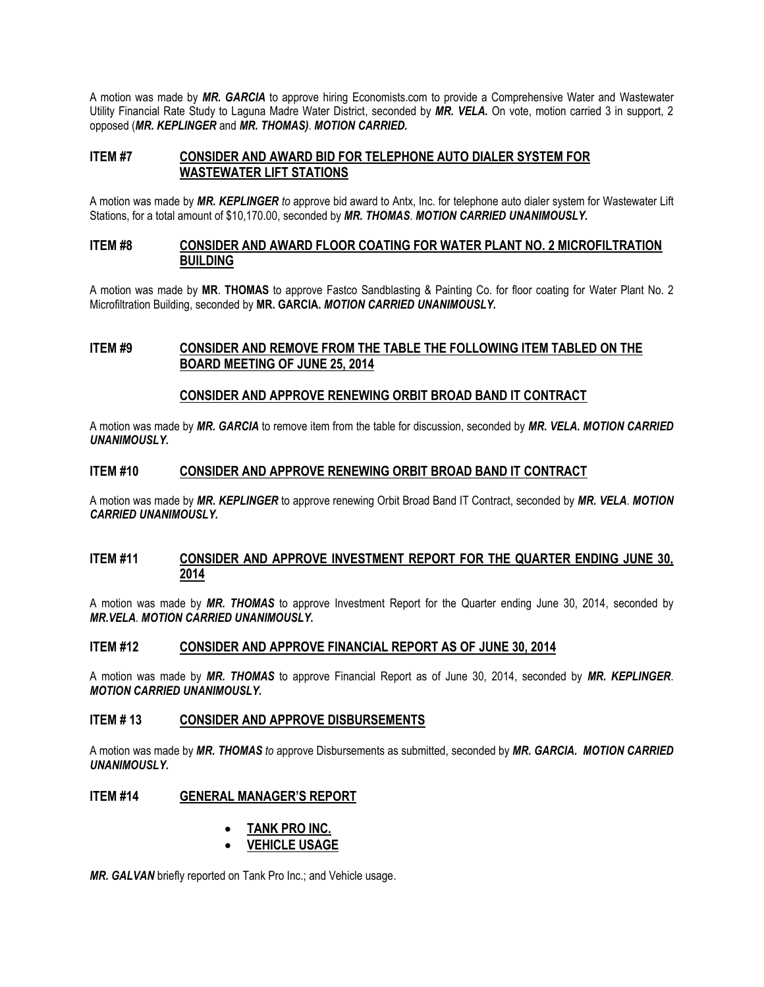A motion was made by *MR. GARCIA* to approve hiring Economists.com to provide a Comprehensive Water and Wastewater Utility Financial Rate Study to Laguna Madre Water District, seconded by *MR. VELA.* On vote, motion carried 3 in support, 2 opposed (*MR. KEPLINGER* and *MR. THOMAS)*. *MOTION CARRIED.*

## **ITEM #7 CONSIDER AND AWARD BID FOR TELEPHONE AUTO DIALER SYSTEM FOR WASTEWATER LIFT STATIONS**

A motion was made by *MR. KEPLINGER to* approve bid award to Antx, Inc. for telephone auto dialer system for Wastewater Lift Stations, for a total amount of \$10,170.00, seconded by *MR. THOMAS*. *MOTION CARRIED UNANIMOUSLY.*

#### **ITEM #8 CONSIDER AND AWARD FLOOR COATING FOR WATER PLANT NO. 2 MICROFILTRATION BUILDING**

A motion was made by **MR**. **THOMAS** to approve Fastco Sandblasting & Painting Co. for floor coating for Water Plant No. 2 Microfiltration Building, seconded by **MR. GARCIA.** *MOTION CARRIED UNANIMOUSLY.*

## **ITEM #9 CONSIDER AND REMOVE FROM THE TABLE THE FOLLOWING ITEM TABLED ON THE BOARD MEETING OF JUNE 25, 2014**

#### **CONSIDER AND APPROVE RENEWING ORBIT BROAD BAND IT CONTRACT**

A motion was made by *MR. GARCIA* to remove item from the table for discussion, seconded by *MR. VELA. MOTION CARRIED UNANIMOUSLY.*

#### **ITEM #10 CONSIDER AND APPROVE RENEWING ORBIT BROAD BAND IT CONTRACT**

A motion was made by *MR. KEPLINGER* to approve renewing Orbit Broad Band IT Contract, seconded by *MR. VELA*. *MOTION CARRIED UNANIMOUSLY.*

#### **ITEM #11 CONSIDER AND APPROVE INVESTMENT REPORT FOR THE QUARTER ENDING JUNE 30, 2014**

A motion was made by *MR. THOMAS* to approve Investment Report for the Quarter ending June 30, 2014, seconded by *MR.VELA*. *MOTION CARRIED UNANIMOUSLY.*

### **ITEM #12 CONSIDER AND APPROVE FINANCIAL REPORT AS OF JUNE 30, 2014**

A motion was made by *MR. THOMAS* to approve Financial Report as of June 30, 2014, seconded by *MR. KEPLINGER*. *MOTION CARRIED UNANIMOUSLY.*

#### **ITEM # 13 CONSIDER AND APPROVE DISBURSEMENTS**

A motion was made by *MR. THOMAS to* approve Disbursements as submitted, seconded by *MR. GARCIA. MOTION CARRIED UNANIMOUSLY.*

#### **ITEM #14 GENERAL MANAGER'S REPORT**

#### • **TANK PRO INC.**

• **VEHICLE USAGE**

*MR. GALVAN* briefly reported on Tank Pro Inc.; and Vehicle usage.